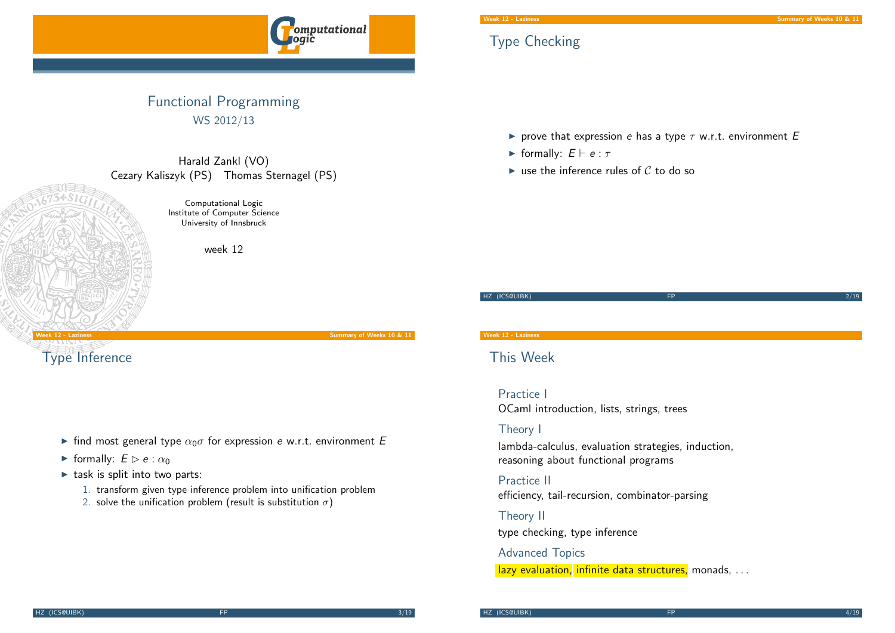

## Functional Programming WS 2012/13

Harald Zankl (VO) Cezary Kaliszyk (PS) Thomas Sternagel (PS)



Computational Logic Institute of Computer Science University of Innsbruck

week 12

#### Week 12 - Laziness Summary of Weeks 10 & 11

[Typ](#page-0-0)e Inference

- Ind most general type  $\alpha_0 \sigma$  for expression e w.r.t. environment E
- **Fig. 1** formally:  $E \triangleright e : \alpha_0$
- $\blacktriangleright$  task is split into two parts:
	- 1. transform given type inference problem into unification problem
	- 2. solve the unification problem (result is substitution  $\sigma$ )

## This Week

Practice I OCaml introduction, lists, strings, trees

### Theory I

lambda-calculus, evaluation strategies, induction, reasoning about functional programs

Practice II efficiency, tail-recursion, combinator-parsing

#### Theory II

type checking, type inference

#### Advanced Topics

<span id="page-0-0"></span>lazy evaluation, infinite data structures, monads, ...

# Type Checking

riangleright prove that expression e has a type  $\tau$  w.r.t. environment E

HZ (ICS@UIBK) FP 2/19

- **Formally:**  $E \vdash e : \tau$
- In use the inference rules of  $\mathcal C$  to do so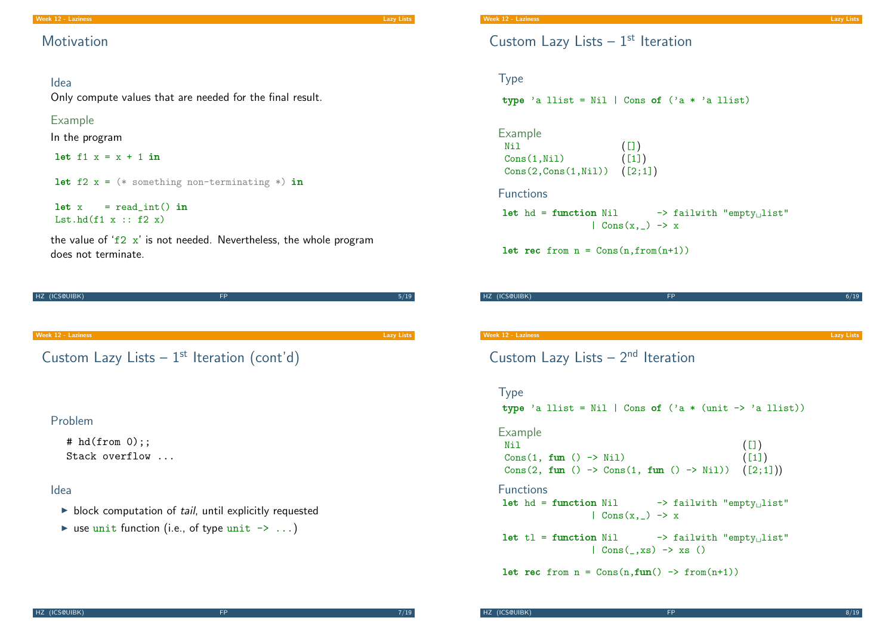## **Motivation**

#### Idea

Only compute values that are needed for the final result.

#### Example

In the program

let  $f1 x = x + 1$  in

let  $f2 x = (*$  something non-terminating  $*)$  in

 $let x = read\_int() in$ Lst.hd $(f1 x :: f2 x)$ 

the value of ' $f2 x'$  is not needed. Nevertheless, the whole program does not terminate.

| HZ (ICS@UIBK)                     | <b>FP</b>                                      | 5/19       |
|-----------------------------------|------------------------------------------------|------------|
|                                   |                                                |            |
|                                   |                                                |            |
| Week 12 - Laziness                |                                                | Lazy Lists |
|                                   | Custom Lazy Lists $-1^{st}$ Iteration (cont'd) |            |
| Problem                           |                                                |            |
| # $hd(from 0);$<br>Stack overflow |                                                |            |

#### Idea

- $\blacktriangleright$  block computation of tail, until explicitly requested
- In use unit function (i.e., of type unit  $\rightarrow \ldots$ )

## Custom Lazy Lists  $-1<sup>st</sup>$  Iteration

### Type

type 'a llist = Nil | Cons of  $('a * 'a$  llist)

Example  $N$ il  $([])$  $Cons(1,Ni1)$  ([1])  $Cons(2,Cons(1,Ni1))$   $([2;1])$ 

```
Functions
```
let hd = function Nil  $\rightarrow$  failwith "empty<sub>u</sub>list"  $\vert$  Cons $(x, \_) \rightarrow x$ 

let rec from  $n = Cons(n, from(n+1))$ 

| HZ (ICS@UIBK) | <b>FP</b> | - 11 2 |
|---------------|-----------|--------|
|               |           |        |
|               |           |        |
|               |           |        |

week 12 - Laziness Lazy Lists Communication and the communication of the communication of the communication of the communication of the communication of the communication of the communication of the communication of the co

Custom Lazy Lists  $-2<sup>nd</sup>$  Iteration

## <span id="page-1-0"></span>Type type 'a llist = Nil | Cons of  $('a * (unit -> 'a llist))$ Example Nil  $([])$  $Cons(1, fun() \rightarrow Nil)$  ([1]) Cons(2, fun ()  $\rightarrow$  Cons(1, fun ()  $\rightarrow$  Nil)) ([2;1])) Functions let  $hd =$  function Nil  $\rightarrow$  failwith "empty $_{\sqcup}$ list"  $|$  Cons(x, \_) -> x  $let t1 = function Nil$   $\rightarrow$  failwith "empty<sub>1</sub> list"  $|$  Cons $($ , xs $)$  -> xs  $()$ let rec from  $n = \text{Cons}(n, fun() \rightarrow from(n+1))$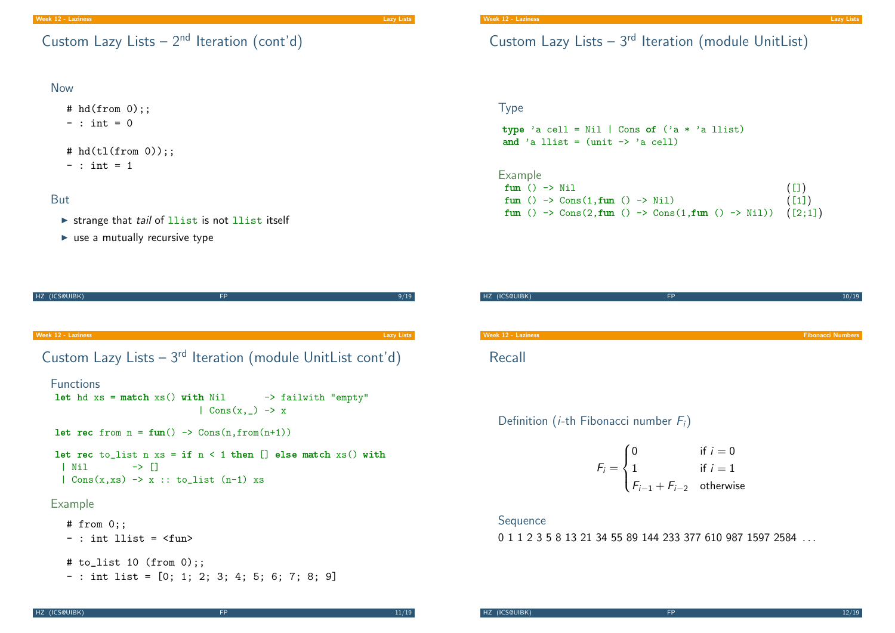#### Now

 $# \text{hd}(\text{from 0})$ ;;  $-$  : int = 0

# hd(tl(from 0));;

 $-$  : int = 1

#### **But**

 $\triangleright$  strange that tail of llist is not llist itself

let rec from  $n = \text{fun}() \rightarrow \text{Cons}(n, \text{from}(n+1))$ 

HZ (ICS@UIBK) 9/19

[Cus](#page-0-0)tom Lazy Lists –  $3^{rd}$  Iteration (module Uni[tList](#page-2-0) [cont'](#page-1-0)d)

 $|$  Cons $(x, ) \rightarrow x$ 

let hd  $xs = match xs() with Nil \rightarrow -& failwith "empty"$ 

let rec to list n  $xs = if n < 1$  then  $\lceil$  else match  $xs()$  with

 $\blacktriangleright$  use a mutually recursive type

# Custom Lazy Lists  $-3<sup>rd</sup>$  Iteration (module UnitList)

### Type

type 'a cell = Nil | Cons of  $('a * 'a llist)$ and 'a llist =  $(\text{unit} \rightarrow \text{'a cell})$ 

Example fun ()  $\rightarrow$  Nil ([]) fun ()  $\rightarrow$  Cons(1,fun ()  $\rightarrow$  Nil) ([1]) fun ()  $\rightarrow$  Cons(2, fun ()  $\rightarrow$  Cons(1, fun ()  $\rightarrow$  Nil)) ([2;1])

| <b>FP</b> | 10/19                    |
|-----------|--------------------------|
|           |                          |
|           |                          |
|           | <b>Fibonacci Numbers</b> |
|           |                          |
|           |                          |

Definition (*i*-th Fibonacci number  $F_i$ )

$$
F_i = \begin{cases} 0 & \text{if } i = 0\\ 1 & \text{if } i = 1\\ F_{i-1} + F_{i-2} & \text{otherwise} \end{cases}
$$

#### Sequence

<span id="page-2-0"></span>0 1 1 2 3 5 8 13 21 34 55 89 144 233 377 610 987 1597 2584 ...

 $|$  Cons(x,xs)  $\rightarrow$  x :: to\_list (n-1) xs

 $|$  Nil  $\rightarrow$   $|$ 

## Example

Functions

```
# from 0;;
-: int llist = \langlefun>
# to_list 10 (from 0);;
- : int list = [0; 1; 2; 3; 4; 5; 6; 7; 8; 9]
```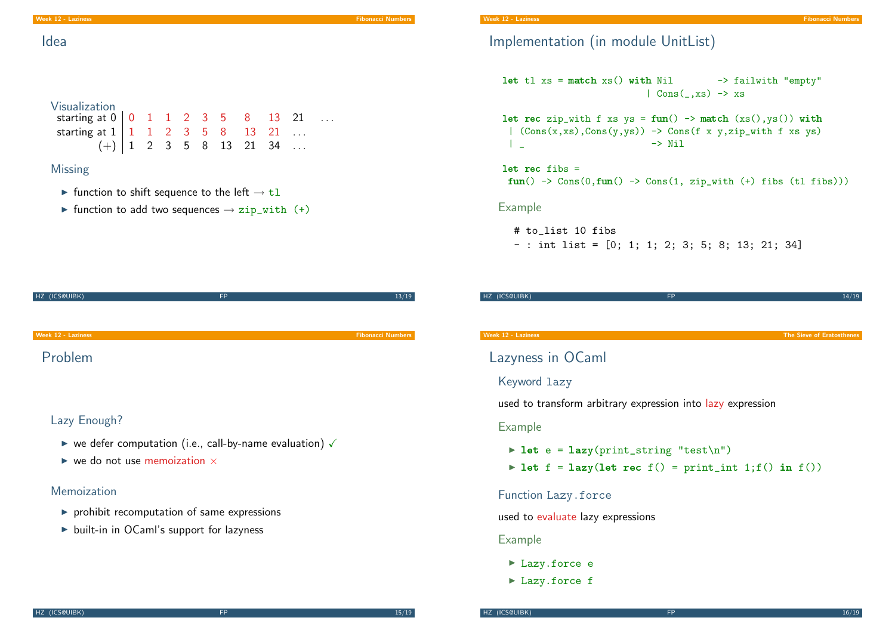Visualization

**Missing** 

Idea

Implementation (in module UnitList)

let tl  $xs = match xs() with Nil$   $\rightarrow$  failwith "empty"  $|$  Cons( $, xs$ )  $\rightarrow$  xs

let rec zip\_with f xs  $ys = fun() \rightarrow match (xs(),ys())$  with |  $(Cons(x, xs), Cons(y, ys)) \rightarrow Cons(f x y, zip_with f xs ys)$ | \_ -> Nil

let rec fibs =  $fun() \rightarrow Cons(0, fun() \rightarrow Cons(1, zip_with (+) fibs (tl fibs)))$ 

Example

- # to\_list 10 fibs
- : int list = [0; 1; 1; 2; 3; 5; 8; 13; 21; 34]

HZ (ICS@UIBK) FP 14/19 14/19

| HZ (ICS@UIBK)                                                                      | <b>FP</b> | 13/19                    |
|------------------------------------------------------------------------------------|-----------|--------------------------|
|                                                                                    |           |                          |
|                                                                                    |           |                          |
| <b>Week 12 - Laziness</b>                                                          |           | <b>Fibonacci Numbers</b> |
| Problem                                                                            |           |                          |
| Lazy Enough?                                                                       |           |                          |
|                                                                                    |           |                          |
| $\triangleright$ we defer computation (i.e., call-by-name evaluation) $\checkmark$ |           |                          |

starting at  $0 \ 0 \ 1 \ 1 \ 2 \ 3 \ 5 \ 8 \ 13 \ 21 \ ...$ starting at  $1 \mid 1 \quad 1 \quad 2 \quad 3 \quad 5 \quad 8 \quad 13 \quad 21 \quad \dots$ 

In function to shift sequence to the left  $\rightarrow$  tl

In function to add two sequences  $\rightarrow$  zip\_with (+)

 $(+)$  1 2 3 5 8 13 21 34 ...

 $\triangleright$  we do not use memoization  $\times$ 

### Memoization

- $\blacktriangleright$  prohibit recomputation of same expressions
- $\triangleright$  built-in in OCaml's support for lazyness

Lazyness in OCaml

#### Keyword lazy

used to transform arbitrary expression into lazy expression

#### Example

- $\triangleright$  let e = lazy(print\_string "test\n")
- I let  $f = \text{lazy}(\text{let rec } f() = \text{print\_int } 1; f() \text{ in } f())$

#### Function Lazy.force

used to evaluate lazy expressions

#### Example

- $\blacktriangleright$  Lazy.force e
- <span id="page-3-0"></span>▶ Lazy.force f

Week 12 - Laziness The Sieve of Eratosthenes